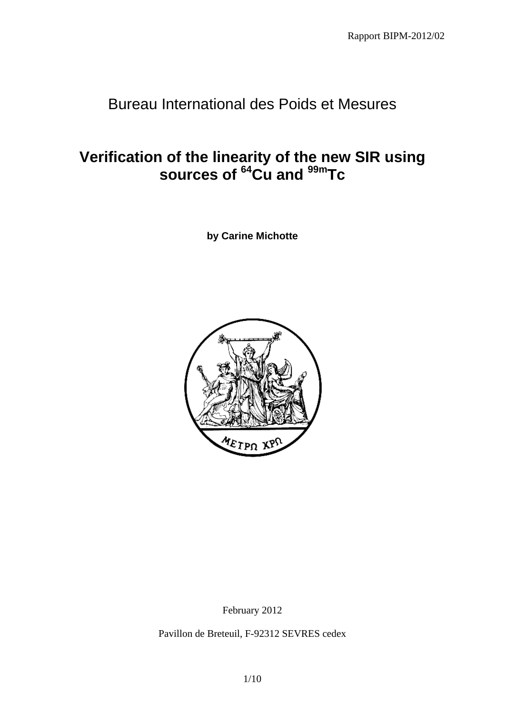# Bureau International des Poids et Mesures

# **Verification of the linearity of the new SIR using sources of 64Cu and 99mTc**

**by Carine Michotte** 



February 2012

Pavillon de Breteuil, F-92312 SEVRES cedex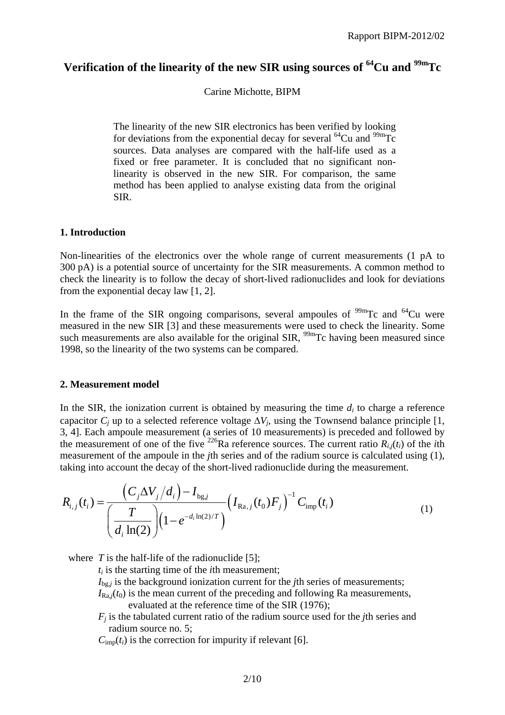## **Verification of the linearity of the new SIR using sources of 64Cu and 99mTc**

Carine Michotte, BIPM

The linearity of the new SIR electronics has been verified by looking for deviations from the exponential decay for several  $^{64}$ Cu and  $^{99m}$ Tc sources. Data analyses are compared with the half-life used as a fixed or free parameter. It is concluded that no significant nonlinearity is observed in the new SIR. For comparison, the same method has been applied to analyse existing data from the original SIR.

#### **1. Introduction**

Non-linearities of the electronics over the whole range of current measurements (1 pA to 300 pA) is a potential source of uncertainty for the SIR measurements. A common method to check the linearity is to follow the decay of short-lived radionuclides and look for deviations from the exponential decay law [1, 2].

In the frame of the SIR ongoing comparisons, several ampoules of  $\frac{99 \text{m}}{C}$  and  $\frac{64 \text{Cu}}{C}$  were measured in the new SIR [3] and these measurements were used to check the linearity. Some such measurements are also available for the original  $SIR$ ,  $^{99m}Tc$  having been measured since 1998, so the linearity of the two systems can be compared.

#### **2. Measurement model**

In the SIR, the ionization current is obtained by measuring the time  $d_i$  to charge a reference capacitor  $C_i$  up to a selected reference voltage  $\Delta V_i$ , using the Townsend balance principle [1, 3, 4]. Each ampoule measurement (a series of 10 measurements) is preceded and followed by the measurement of one of the five  $^{226}$ Ra reference sources. The current ratio  $R_{i,j}(t_i)$  of the *i*th measurement of the ampoule in the *j*th series and of the radium source is calculated using (1), taking into account the decay of the short-lived radionuclide during the measurement.

$$
R_{i,j}(t_i) = \frac{\left(C_j \Delta V_j / d_i\right) - I_{\text{bg},j}}{\left(\frac{T}{d_i \ln(2)}\right) \left(1 - e^{-d_i \ln(2)/T}\right)} \left(I_{\text{Ra},j}(t_0) F_j\right)^{-1} C_{\text{imp}}(t_i)
$$
\n(1)

where  $T$  is the half-life of the radionuclide [5];

 $t_i$  is the starting time of the *i*th measurement;

 $I_{\text{bg},j}$  is the background ionization current for the *j*th series of measurements;

 $I_{\text{Ra},i}(t_0)$  is the mean current of the preceding and following Ra measurements, evaluated at the reference time of the SIR (1976);

*Fj* is the tabulated current ratio of the radium source used for the *j*th series and radium source no. 5;

 $C_{\text{imp}}(t_i)$  is the correction for impurity if relevant [6].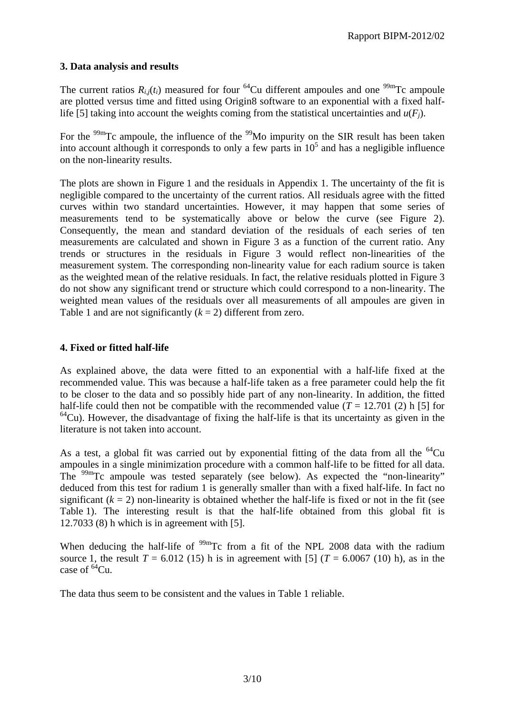#### **3. Data analysis and results**

The current ratios  $R_{i,j}(t_i)$  measured for four <sup>64</sup>Cu different ampoules and one <sup>99m</sup>Tc ampoule are plotted versus time and fitted using Origin8 software to an exponential with a fixed halflife [5] taking into account the weights coming from the statistical uncertainties and  $u(F_i)$ .

For the  $99<sup>99</sup>$ Tc ampoule, the influence of the  $9<sup>99</sup>$ Mo impurity on the SIR result has been taken into account although it corresponds to only a few parts in  $10<sup>5</sup>$  and has a negligible influence on the non-linearity results.

The plots are shown in Figure 1 and the residuals in Appendix 1. The uncertainty of the fit is negligible compared to the uncertainty of the current ratios. All residuals agree with the fitted curves within two standard uncertainties. However, it may happen that some series of measurements tend to be systematically above or below the curve (see Figure 2). Consequently, the mean and standard deviation of the residuals of each series of ten measurements are calculated and shown in Figure 3 as a function of the current ratio. Any trends or structures in the residuals in Figure 3 would reflect non-linearities of the measurement system. The corresponding non-linearity value for each radium source is taken as the weighted mean of the relative residuals. In fact, the relative residuals plotted in Figure 3 do not show any significant trend or structure which could correspond to a non-linearity. The weighted mean values of the residuals over all measurements of all ampoules are given in Table 1 and are not significantly  $(k = 2)$  different from zero.

### **4. Fixed or fitted half-life**

As explained above, the data were fitted to an exponential with a half-life fixed at the recommended value. This was because a half-life taken as a free parameter could help the fit to be closer to the data and so possibly hide part of any non-linearity. In addition, the fitted half-life could then not be compatible with the recommended value  $(T = 12.701 \text{ (2) h } [5]$  for  $64$ Cu). However, the disadvantage of fixing the half-life is that its uncertainty as given in the literature is not taken into account.

As a test, a global fit was carried out by exponential fitting of the data from all the  $^{64}Cu$ ampoules in a single minimization procedure with a common half-life to be fitted for all data. The <sup>99m</sup>Tc ampoule was tested separately (see below). As expected the "non-linearity" deduced from this test for radium 1 is generally smaller than with a fixed half-life. In fact no significant  $(k = 2)$  non-linearity is obtained whether the half-life is fixed or not in the fit (see Table 1). The interesting result is that the half-life obtained from this global fit is 12.7033 (8) h which is in agreement with [5].

When deducing the half-life of  $\frac{99 \text{m}}{2}$  from a fit of the NPL 2008 data with the radium source 1, the result  $T = 6.012$  (15) h is in agreement with [5] ( $T = 6.0067$  (10) h), as in the case of  ${}^{64}$ Cu.

The data thus seem to be consistent and the values in Table 1 reliable.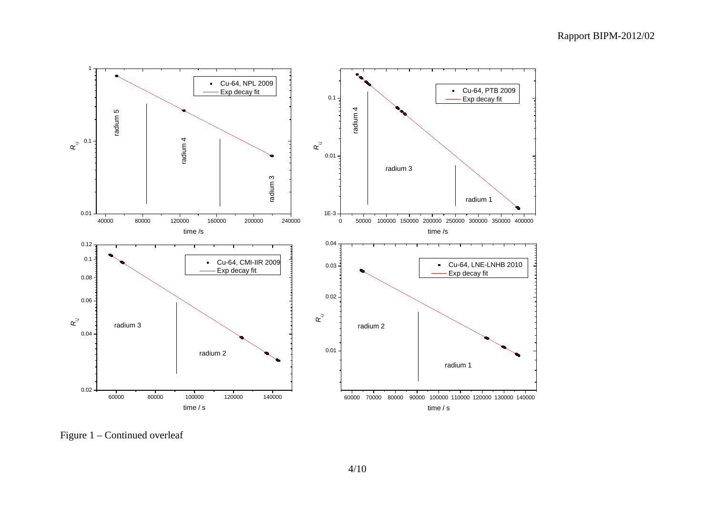

Figure 1 – Continued overleaf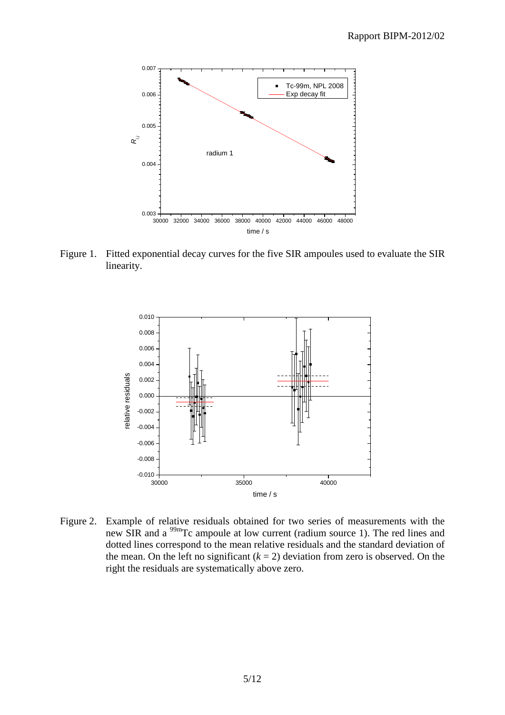

Figure 1. Fitted exponential decay curves for the five SIR ampoules used to evaluate the SIR linearity.



Figure 2. Example of relative residuals obtained for two series of measurements with the new SIR and a 99mTc ampoule at low current (radium source 1). The red lines and dotted lines correspond to the mean relative residuals and the standard deviation of the mean. On the left no significant  $(k = 2)$  deviation from zero is observed. On the right the residuals are systematically above zero.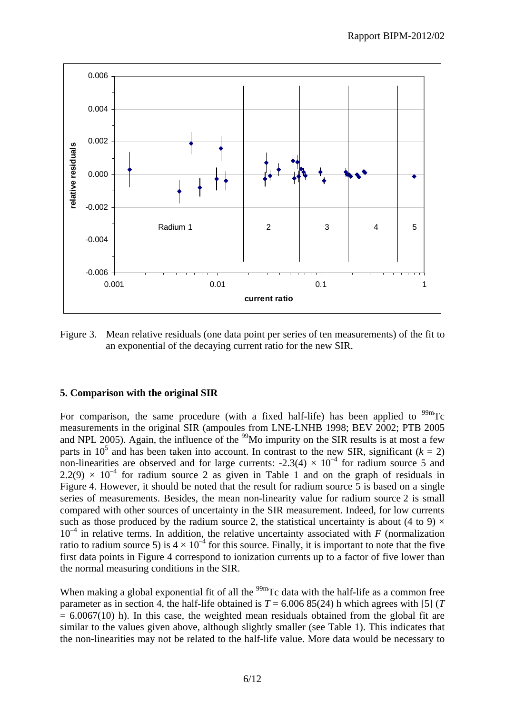

Figure 3. Mean relative residuals (one data point per series of ten measurements) of the fit to an exponential of the decaying current ratio for the new SIR.

#### **5. Comparison with the original SIR**

For comparison, the same procedure (with a fixed half-life) has been applied to  $^{99m}$ Tc measurements in the original SIR (ampoules from LNE-LNHB 1998; BEV 2002; PTB 2005 and NPL 2005). Again, the influence of the  $\frac{99}{9}$ Mo impurity on the SIR results is at most a few parts in 10<sup>5</sup> and has been taken into account. In contrast to the new SIR, significant ( $k = 2$ ) non-linearities are observed and for large currents:  $-2.3(4) \times 10^{-4}$  for radium source 5 and  $2.2(9) \times 10^{-4}$  for radium source 2 as given in Table 1 and on the graph of residuals in Figure 4. However, it should be noted that the result for radium source 5 is based on a single series of measurements. Besides, the mean non-linearity value for radium source 2 is small compared with other sources of uncertainty in the SIR measurement. Indeed, for low currents such as those produced by the radium source 2, the statistical uncertainty is about (4 to 9)  $\times$  $10^{-4}$  in relative terms. In addition, the relative uncertainty associated with *F* (normalization ratio to radium source 5) is  $4 \times 10^{-4}$  for this source. Finally, it is important to note that the five first data points in Figure 4 correspond to ionization currents up to a factor of five lower than the normal measuring conditions in the SIR.

When making a global exponential fit of all the  $\frac{99 \text{m}}{2}$  C data with the half-life as a common free parameter as in section 4, the half-life obtained is  $T = 6.00685(24)$  h which agrees with [5] (*T*  $= 6.0067(10)$  h). In this case, the weighted mean residuals obtained from the global fit are similar to the values given above, although slightly smaller (see Table 1). This indicates that the non-linearities may not be related to the half-life value. More data would be necessary to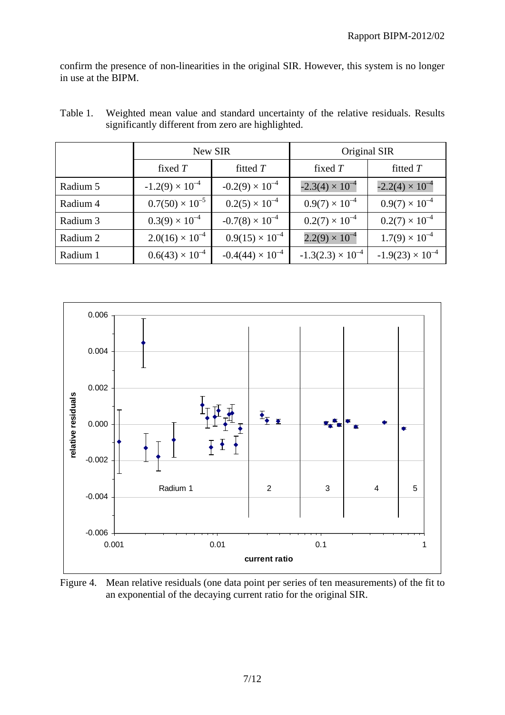confirm the presence of non-linearities in the original SIR. However, this system is no longer in use at the BIPM.

|          | New SIR                  |                           | Original SIR               |                           |  |
|----------|--------------------------|---------------------------|----------------------------|---------------------------|--|
|          | fixed $T$                | fitted T                  | fixed $T$                  | fitted T                  |  |
| Radium 5 | $-1.2(9) \times 10^{-4}$ | $-0.2(9) \times 10^{-4}$  | $-2.3(4) \times 10^{-4}$   | $-2.2(4) \times 10^{-4}$  |  |
| Radium 4 | $0.7(50) \times 10^{-5}$ | $0.2(5) \times 10^{-4}$   | $0.9(7) \times 10^{-4}$    | $0.9(7) \times 10^{-4}$   |  |
| Radium 3 | $0.3(9) \times 10^{-4}$  | $-0.7(8) \times 10^{-4}$  | $0.2(7) \times 10^{-4}$    | $0.2(7) \times 10^{-4}$   |  |
| Radium 2 | $2.0(16) \times 10^{-4}$ | $0.9(15) \times 10^{-4}$  | $2.2(9) \times 10^{-4}$    | $1.7(9) \times 10^{-4}$   |  |
| Radium 1 | $0.6(43) \times 10^{-4}$ | $-0.4(44) \times 10^{-4}$ | $-1.3(2.3) \times 10^{-4}$ | $-1.9(23) \times 10^{-4}$ |  |

Table 1. Weighted mean value and standard uncertainty of the relative residuals. Results significantly different from zero are highlighted.



Figure 4. Mean relative residuals (one data point per series of ten measurements) of the fit to an exponential of the decaying current ratio for the original SIR.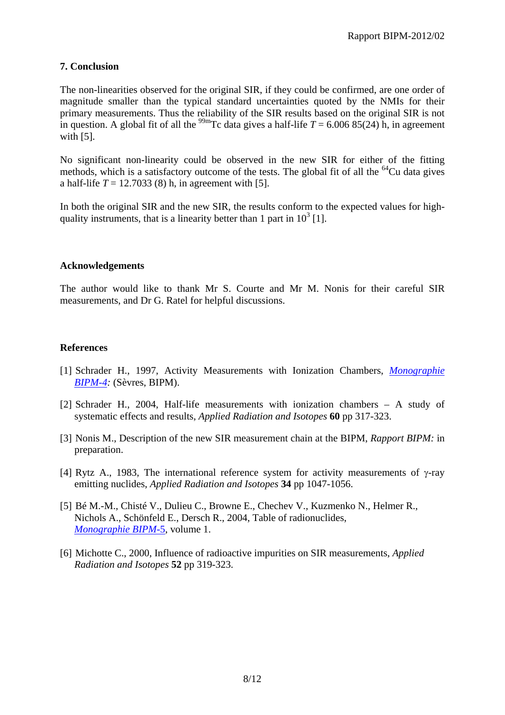#### **7. Conclusion**

The non-linearities observed for the original SIR, if they could be confirmed, are one order of magnitude smaller than the typical standard uncertainties quoted by the NMIs for their primary measurements. Thus the reliability of the SIR results based on the original SIR is not in question. A global fit of all the <sup>99m</sup>Tc data gives a half-life  $T = 6.00685(24)$  h, in agreement with [5].

No significant non-linearity could be observed in the new SIR for either of the fitting methods, which is a satisfactory outcome of the tests. The global fit of all the  $^{64}$ Cu data gives a half-life  $T = 12.7033(8)$  h, in agreement with [5].

In both the original SIR and the new SIR, the results conform to the expected values for highquality instruments, that is a linearity better than 1 part in  $10^3$  [1].

#### **Acknowledgements**

The author would like to thank Mr S. Courte and Mr M. Nonis for their careful SIR measurements, and Dr G. Ratel for helpful discussions.

#### **References**

- [1] Schrader H., 1997, Activity Measurements with Ionization Chambers, *[Monographie](http://www.bipm.org/en/publications/monographies-ri.html)  [BIPM-4:](http://www.bipm.org/en/publications/monographies-ri.html)* (Sèvres, BIPM).
- [2] Schrader H., 2004, Half-life measurements with ionization chambers A study of systematic effects and results, *Applied Radiation and Isotopes* **60** pp 317-323.
- [3] Nonis M., Description of the new SIR measurement chain at the BIPM, *Rapport BIPM:* in preparation.
- [4] Rytz A., 1983, The international reference system for activity measurements of  $\gamma$ -ray emitting nuclides, *Applied Radiation and Isotopes* **34** pp 1047-1056.
- [5] Bé M.-M., Chisté V., Dulieu C., Browne E., Chechev V., Kuzmenko N., Helmer R., Nichols A., Schönfeld E., Dersch R., 2004, Table of radionuclides, *[Monographie BIPM](http://www.bipm.org/en/publications/monographie-ri-5.html)*-5, volume 1.
- [6] Michotte C., 2000, Influence of radioactive impurities on SIR measurements, *Applied Radiation and Isotopes* **52** pp 319-323.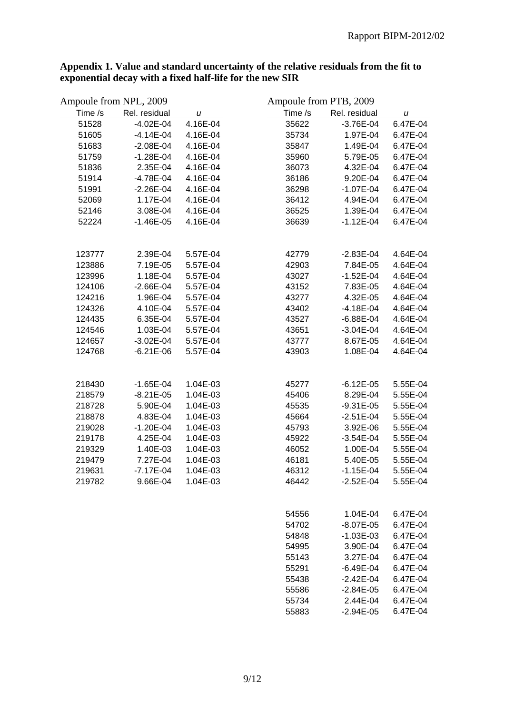| Ampoule from NPL, 2009 |               |          | Ampoule from PTB, 2009 |               |          |
|------------------------|---------------|----------|------------------------|---------------|----------|
| Time /s                | Rel. residual | u        | Time /s                | Rel. residual | u        |
| 51528                  | $-4.02E - 04$ | 4.16E-04 | 35622                  | $-3.76E - 04$ | 6.47E-04 |
| 51605                  | $-4.14E-04$   | 4.16E-04 | 35734                  | 1.97E-04      | 6.47E-04 |
| 51683                  | $-2.08E - 04$ | 4.16E-04 | 35847                  | 1.49E-04      | 6.47E-04 |
| 51759                  | $-1.28E - 04$ | 4.16E-04 | 35960                  | 5.79E-05      | 6.47E-04 |
| 51836                  | 2.35E-04      | 4.16E-04 | 36073                  | 4.32E-04      | 6.47E-04 |
| 51914                  | $-4.78E - 04$ | 4.16E-04 | 36186                  | 9.20E-04      | 6.47E-04 |
| 51991                  | $-2.26E - 04$ | 4.16E-04 | 36298                  | $-1.07E - 04$ | 6.47E-04 |
| 52069                  | 1.17E-04      | 4.16E-04 | 36412                  | 4.94E-04      | 6.47E-04 |
| 52146                  | 3.08E-04      | 4.16E-04 | 36525                  | 1.39E-04      | 6.47E-04 |
| 52224                  | $-1.46E-05$   | 4.16E-04 | 36639                  | $-1.12E - 04$ | 6.47E-04 |
| 123777                 | 2.39E-04      | 5.57E-04 | 42779                  | $-2.83E-04$   | 4.64E-04 |
| 123886                 | 7.19E-05      | 5.57E-04 | 42903                  | 7.84E-05      | 4.64E-04 |
| 123996                 | 1.18E-04      | 5.57E-04 | 43027                  | $-1.52E - 04$ | 4.64E-04 |
| 124106                 | $-2.66E-04$   | 5.57E-04 | 43152                  | 7.83E-05      | 4.64E-04 |
| 124216                 | 1.96E-04      | 5.57E-04 | 43277                  | 4.32E-05      | 4.64E-04 |
| 124326                 | 4.10E-04      | 5.57E-04 | 43402                  | $-4.18E - 04$ | 4.64E-04 |
| 124435                 | 6.35E-04      | 5.57E-04 | 43527                  | $-6.88E - 04$ | 4.64E-04 |
| 124546                 | 1.03E-04      | 5.57E-04 | 43651                  | $-3.04E - 04$ | 4.64E-04 |
| 124657                 | $-3.02E - 04$ | 5.57E-04 | 43777                  | 8.67E-05      | 4.64E-04 |
| 124768                 | $-6.21E-06$   | 5.57E-04 | 43903                  | 1.08E-04      | 4.64E-04 |
|                        |               |          |                        |               |          |
| 218430                 | $-1.65E - 04$ | 1.04E-03 | 45277                  | $-6.12E - 05$ | 5.55E-04 |
| 218579                 | $-8.21E-05$   | 1.04E-03 | 45406                  | 8.29E-04      | 5.55E-04 |
| 218728                 | 5.90E-04      | 1.04E-03 | 45535                  | $-9.31E - 05$ | 5.55E-04 |
| 218878                 | 4.83E-04      | 1.04E-03 | 45664                  | $-2.51E-04$   | 5.55E-04 |
| 219028                 | $-1.20E - 04$ | 1.04E-03 | 45793                  | 3.92E-06      | 5.55E-04 |
| 219178                 | 4.25E-04      | 1.04E-03 | 45922                  | $-3.54E-04$   | 5.55E-04 |
| 219329                 | 1.40E-03      | 1.04E-03 | 46052                  | 1.00E-04      | 5.55E-04 |
| 219479                 | 7.27E-04      | 1.04E-03 | 46181                  | 5.40E-05      | 5.55E-04 |
| 219631                 | $-7.17E-04$   | 1.04E-03 | 46312                  | $-1.15E-04$   | 5.55E-04 |
| 219782                 | 9.66E-04      | 1.04E-03 | 46442                  | $-2.52E - 04$ | 5.55E-04 |
|                        |               |          | 54556                  | 1.04E-04      | 6.47E-04 |
|                        |               |          | 54702                  | $-8.07E-05$   | 6.47E-04 |
|                        |               |          | 54848                  | $-1.03E-03$   | 6.47E-04 |
|                        |               |          | 54995                  | 3.90E-04      | 6.47E-04 |

### **Appendix 1. Value and standard uncertainty of the relative residuals from the fit to exponential decay with a fixed half-life for the new SIR**

55143 3.27E-04 6.47E-04 55291 -6.49E-04 6.47E-04 55438 -2.42E-04 6.47E-04 55586 -2.84E-05 6.47E-04 55734 2.44E-04 6.47E-04 55883 -2.94E-05 6.47E-04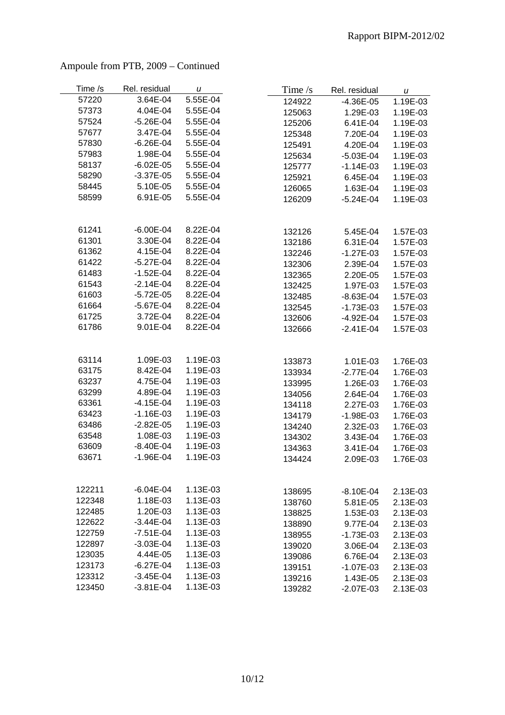| Time /s | Rel. residual | u        | Time $/s$ | Rel. residual | u        |
|---------|---------------|----------|-----------|---------------|----------|
| 57220   | 3.64E-04      | 5.55E-04 | 124922    | $-4.36E - 05$ | 1.19E-03 |
| 57373   | 4.04E-04      | 5.55E-04 | 125063    | 1.29E-03      | 1.19E-03 |
| 57524   | $-5.26E - 04$ | 5.55E-04 | 125206    | 6.41E-04      | 1.19E-03 |
| 57677   | 3.47E-04      | 5.55E-04 | 125348    | 7.20E-04      | 1.19E-03 |
| 57830   | $-6.26E - 04$ | 5.55E-04 | 125491    | 4.20E-04      | 1.19E-03 |
| 57983   | 1.98E-04      | 5.55E-04 | 125634    | $-5.03E - 04$ | 1.19E-03 |
| 58137   | $-6.02E - 05$ | 5.55E-04 | 125777    | $-1.14E-03$   | 1.19E-03 |
| 58290   | $-3.37E-05$   | 5.55E-04 | 125921    | 6.45E-04      | 1.19E-03 |
| 58445   | 5.10E-05      | 5.55E-04 | 126065    | 1.63E-04      | 1.19E-03 |
| 58599   | 6.91E-05      | 5.55E-04 | 126209    | $-5.24E - 04$ | 1.19E-03 |
|         |               |          |           |               |          |
| 61241   | $-6.00E - 04$ | 8.22E-04 | 132126    | 5.45E-04      | 1.57E-03 |
| 61301   | 3.30E-04      | 8.22E-04 | 132186    | 6.31E-04      | 1.57E-03 |
| 61362   | 4.15E-04      | 8.22E-04 | 132246    | $-1.27E-03$   | 1.57E-03 |
| 61422   | $-5.27E-04$   | 8.22E-04 | 132306    | 2.39E-04      | 1.57E-03 |
| 61483   | $-1.52E - 04$ | 8.22E-04 | 132365    | 2.20E-05      | 1.57E-03 |
| 61543   | $-2.14E-04$   | 8.22E-04 | 132425    | 1.97E-03      | 1.57E-03 |
| 61603   | $-5.72E - 05$ | 8.22E-04 | 132485    | $-8.63E - 04$ | 1.57E-03 |
| 61664   | $-5.67E-04$   | 8.22E-04 | 132545    | $-1.73E-03$   | 1.57E-03 |
| 61725   | 3.72E-04      | 8.22E-04 | 132606    | $-4.92E - 04$ | 1.57E-03 |
| 61786   | 9.01E-04      | 8.22E-04 | 132666    | $-2.41E-04$   | 1.57E-03 |
|         |               |          |           |               |          |
| 63114   | 1.09E-03      | 1.19E-03 | 133873    | 1.01E-03      | 1.76E-03 |
| 63175   | 8.42E-04      | 1.19E-03 | 133934    | $-2.77E-04$   | 1.76E-03 |
| 63237   | 4.75E-04      | 1.19E-03 | 133995    | 1.26E-03      | 1.76E-03 |
| 63299   | 4.89E-04      | 1.19E-03 | 134056    | 2.64E-04      | 1.76E-03 |
| 63361   | $-4.15E-04$   | 1.19E-03 | 134118    | 2.27E-03      | 1.76E-03 |
| 63423   | $-1.16E-03$   | 1.19E-03 | 134179    | $-1.98E - 03$ | 1.76E-03 |
| 63486   | $-2.82E - 05$ | 1.19E-03 | 134240    | 2.32E-03      | 1.76E-03 |
| 63548   | 1.08E-03      | 1.19E-03 | 134302    | 3.43E-04      | 1.76E-03 |
| 63609   | $-8.40E - 04$ | 1.19E-03 | 134363    | 3.41E-04      | 1.76E-03 |
| 63671   | $-1.96E - 04$ | 1.19E-03 | 134424    | 2.09E-03      | 1.76E-03 |
|         |               |          |           |               |          |
| 122211  | $-6.04E - 04$ | 1.13E-03 | 138695    | $-8.10E - 04$ | 2.13E-03 |
| 122348  | 1.18E-03      | 1.13E-03 | 138760    | 5.81E-05      | 2.13E-03 |
| 122485  | 1.20E-03      | 1.13E-03 | 138825    | 1.53E-03      | 2.13E-03 |
| 122622  | $-3.44E-04$   | 1.13E-03 | 138890    | 9.77E-04      | 2.13E-03 |
| 122759  | $-7.51E-04$   | 1.13E-03 | 138955    | $-1.73E-03$   | 2.13E-03 |
| 122897  | $-3.03E-04$   | 1.13E-03 | 139020    | 3.06E-04      | 2.13E-03 |
| 123035  | 4.44E-05      | 1.13E-03 | 139086    | 6.76E-04      | 2.13E-03 |
| 123173  | $-6.27E-04$   | 1.13E-03 | 139151    | $-1.07E-03$   | 2.13E-03 |
| 123312  | $-3.45E - 04$ | 1.13E-03 | 139216    | 1.43E-05      | 2.13E-03 |
| 123450  | $-3.81E - 04$ | 1.13E-03 | 139282    | $-2.07E-03$   | 2.13E-03 |

### Ampoule from PTB, 2009 – Continued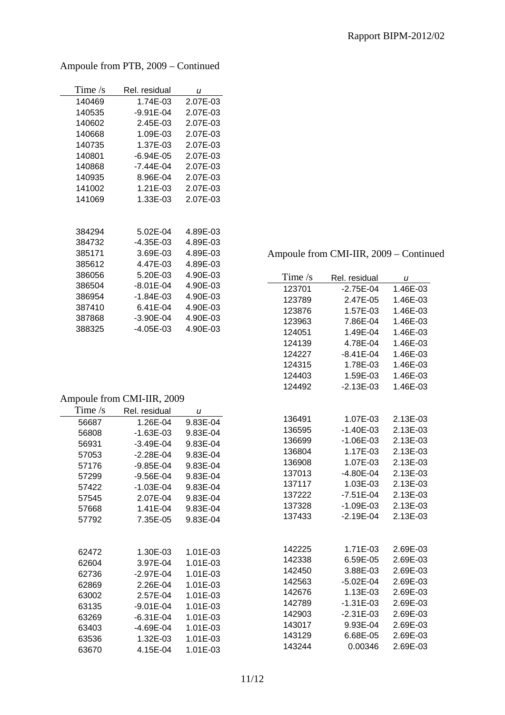| Time $\sqrt{s}$ | Rel. residual | u        |
|-----------------|---------------|----------|
| 140469          | 1.74E-03      | 2.07E-03 |
| 140535          | $-9.91E - 04$ | 2.07E-03 |
| 140602          | 2.45E-03      | 2.07E-03 |
| 140668          | 1.09E-03      | 2.07E-03 |
| 140735          | 1.37E-03      | 2.07E-03 |
| 140801          | $-6.94E - 05$ | 2.07E-03 |
| 140868          | -7.44E-04     | 2.07E-03 |
| 140935          | 8.96E-04      | 2.07E-03 |
| 141002          | 1.21E-03      | 2.07E-03 |
| 141069          | 1.33E-03      | 2.07E-03 |
|                 |               |          |
| 384294          | 5.02E-04      | 4.89E-03 |
| 384732          | $-4.35E - 03$ | 4.89E-03 |
| 385171          | 3.69E-03      | 4.89E-03 |
| 385612          | 4.47E-03      | 4.89E-03 |
| 386056          | 5.20E-03      | 4.90E-03 |
| 386504          | $-8.01E - 04$ | 4.90E-03 |
| 386954          | $-1.84E - 03$ | 4.90E-03 |
| 387410          | 6.41E-04      | 4.90E-03 |
| 387868          | $-3.90E - 04$ | 4.90E-03 |
| 388325          | -4.05E-03     | 4.90E-03 |

Ampoule from PTB, 2009 – Continued

## Ampoule from CMI-IIR, 2009 – Continued

| Time $/s$        | Rel. residual              | $\boldsymbol{u}$     |
|------------------|----------------------------|----------------------|
| 123701           | $-2.75E-04$                | 1.46E-03             |
| 123789           | 2.47E-05                   | 1.46E-03             |
| 123876           | 1.57E-03                   | 1.46E-03             |
| 123963           | 7.86E-04                   | 1.46E-03             |
| 124051           | 1.49E-04                   | 1.46E-03             |
| 124139           | 4.78E-04                   | 1.46E-03             |
| 124227           | $-8.41E - 04$              | 1.46E-03             |
| 124315           | 1.78E-03                   | 1.46E-03             |
| 124403           | 1.59E-03                   | 1.46E-03             |
| 124492           | $-2.13E-03$                | 1.46E-03             |
|                  |                            |                      |
|                  |                            |                      |
| 136491           | 1.07E-03                   | 2.13E-03             |
| 136595<br>136699 | $-1.40E-03$<br>$-1.06E-03$ | 2.13E-03<br>2.13E-03 |
| 136804           | 1.17E-03                   | 2.13E-03             |
| 136908           | 1.07E-03                   | 2.13E-03             |
| 137013           | $-4.80E - 04$              | 2.13E-03             |
| 137117           | 1.03E-03                   | 2.13E-03             |
| 137222           | $-7.51E-04$                | 2.13E-03             |
| 137328           | $-1.09E-03$                | 2.13E-03             |
| 137433           | $-2.19E - 04$              | 2.13E-03             |
|                  |                            |                      |
|                  |                            |                      |
| 142225           | 1.71E-03                   | 2.69E-03             |
| 142338           | 6.59E-05                   | 2.69E-03             |
| 142450           | 3.88E-03                   | 2.69E-03             |
| 142563           | $-5.02E - 04$              | 2.69E-03             |
| 142676           | 1.13E-03                   | 2.69E-03             |
| 142789           | $-1.31E-03$                | 2.69E-03             |
| 142903           | $-2.31E-03$                | 2.69E-03             |
| 143017           | 9.93E-04                   | 2.69E-03             |
| 143129           | 6.68E-05                   | 2.69E-03             |
| 143244           | 0.00346                    | 2.69E-03             |

#### Ampoule from CMI-IIR, 2009

| Time $/s$ | Rel. residual | u        |
|-----------|---------------|----------|
| 56687     | 1.26E-04      | 9.83E-04 |
| 56808     | $-1.63E-03$   | 9.83E-04 |
| 56931     | $-3.49E - 04$ | 9.83E-04 |
| 57053     | $-2.28E - 04$ | 9.83E-04 |
| 57176     | $-9.85E - 04$ | 9.83E-04 |
| 57299     | -9.56E-04     | 9.83E-04 |
| 57422     | $-1.03E - 04$ | 9.83E-04 |
| 57545     | 2.07E-04      | 9.83E-04 |
| 57668     | 1.41E-04      | 9.83E-04 |
| 57792     | 7.35E-05      | 9.83E-04 |
|           |               |          |
| 62472     | 1.30E-03      | 1.01E-03 |
| 62604     | 3.97E-04      | 1.01E-03 |
| 62736     | $-2.97E-04$   | 1.01E-03 |
| 62869     | 2.26E-04      | 1.01E-03 |
| 63002     | 2.57E-04      | 1.01E-03 |
| 63135     | $-9.01E - 04$ | 1.01E-03 |
| 63269     | $-6.31E - 04$ | 1.01E-03 |
| 63403     | -4.69E-04     | 1.01E-03 |
| 63536     | 1.32E-03      | 1.01E-03 |
| 63670     | 4.15E-04      | 1.01E-03 |
|           |               |          |